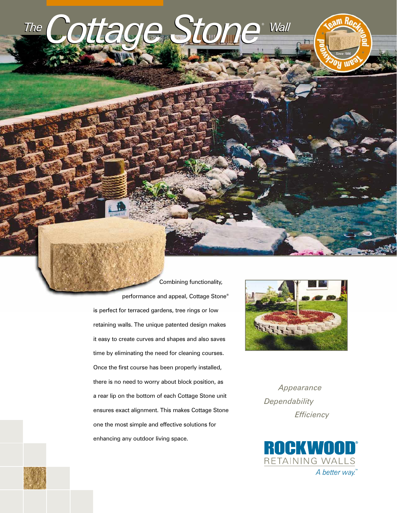

Combining functionality, performance and appeal, Cottage Stone® is perfect for terraced gardens, tree rings or low retaining walls. The unique patented design makes it easy to create curves and shapes and also saves time by eliminating the need for cleaning courses. Once the first course has been properly installed, there is no need to worry about block position, as a rear lip on the bottom of each Cottage Stone unit ensures exact alignment. This makes Cottage Stone one the most simple and effective solutions for enhancing any outdoor living space.



*Appearance Dependability Efficiency*